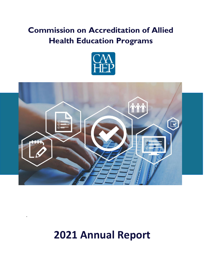## **Commission on Accreditation of Allied Health Education Programs**





# **2021 Annual Report**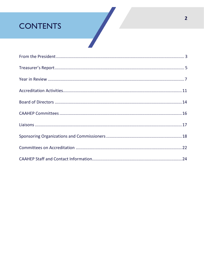## **CONTENTS**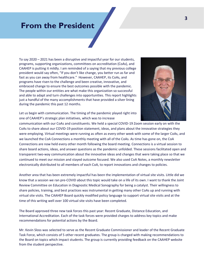## **From the President**

To say 2020 – 2021 has been a disruptive and impactful year for our students, programs, supporting organizations, committees on accreditation (CoAs), and CAAHEP is putting it mildly. I am reminded of a saying that my previous college president would say often, "If you don't like change, you better run as far and fast as you can away from healthcare." However, CAAHEP, its CoAs, and programs have risen to the challenge and been creative, innovative, and embraced change to ensure the best outcomes possible with the pandemic. The people within our entities are what make this organization so successful and able to adapt and turn challenges into opportunities. This report highlights just a handful of the many accomplishments that have provided a silver lining during the pandemic this past 12 months.



Let us begin with communication. The timing of the pandemic played right into one of CAAHEP's strategic plan initiatives, which was to increase

communication with our CoAs and constituents. We held a special COVID-19 Zoom session early on with the CoAs to share about our COVID-19 position statement, ideas, and plans about the innovative strategies they were employing. Virtual meetings were running as often as every other week with some of the larger CoAs, and we launched the CoA Connections a monthly meeting with all of the CoAs. As time has gone on, the CoA Connections are now held every other month following the board meeting. Connections is a virtual session to share board actions, ideas, and answer questions as the pandemic unfolded. These sessions facilitated open and transparent two-way communication about the innovative ideas and changes that were taking place so that we continued to meet our mission and stayed outcome focused. We also used CoA Notes, a monthly newsletter electronically distributed to all members of each CoA, to report innovations and changes to policies.

Another area that has been extremely impactful has been the implementation of virtual site visits. Little did we know that a session we ran pre-COVID about this topic would take on a life of its own. I want to thank the Joint Review Committee on Education in Diagnostic Medical Sonography for being a catalyst. Their willingness to share policies, training, and best practices was instrumental in getting many other CoAs up and running with virtual site visits. The CAAHEP Board quickly modified policy language to support virtual site visits and at the time of this writing well over 100 virtual site visits have been completed.

The Board approved three new task forces this past year: Recent Graduate, Distance Education, and International Accreditation. Each of the task forces were provided charges to address key topics and make recommendations for potential actions by the Board.

Mr. Kevin Sloss was selected to serve as the Recent Graduate Commissioner and leader of the Recent Graduate Task Force, which consists of 5 other recent graduates. The group is charged with making recommendations to the Board on topics which impact students. The group is currently providing feedback on the CAAHEP website from the student perspective.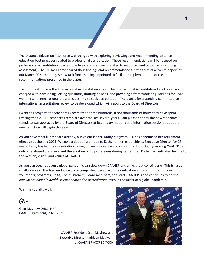

The Distance Education Task force was charged with exploring, reviewing, and recommending distance education best practices related to professional accreditation. These recommendations will be focused on professional accreditation policies, practices, and standards related to resources and outcomes (including assessment). The DE Task Force shared their findings and recommendations in the form of a "white paper" at our March 2021 meeting. A new task force is being appointed to facilitate implementation of the recommendations presented in the paper.

The third task force is the International Accreditation group. The International Accreditation Task Force was charged with developing vetting questions, drafting policies, and providing a framework or guidelines for CoAs working with international programs desiring to seek accreditation. The plan is for a standing committee on international accreditation review to be developed which will report to the Board of Directors.

I want to recognize the Standards Committee for the hundreds, if not thousands of hours they have spent revising the CAAHEP standards template over the last several years. I am pleased to say the new standards template was approved by the Board of Directors at its January meeting and information sessions about the new template will begin this year.

As you have most likely heard already, our valent leader, Kathy Megivern, JD, has announced her retirement effective at the end 2021. We owe a debt of gratitude to Kathy for her leadership as Executive Director for 23 years. Kathy has led the organization through many innovative accomplishments, including moving CAAHEP to outcomes-based Standards and the addition of 15 professions during her tenure. Kathy has dedicated her life to the mission, vision, and values of CAAHEP.

As you can see, not even a global pandemic can slow down CAAHEP and all its great constituents. This is just a small sample of the tremendous work accomplished because of the dedication and commitment of our volunteers, programs, CoAs, Commissioners, Board members, and staff. CAAHEP is and continues to be *the innovative leader in health sciences education accreditation* even in the midst of a global pandemic.

Wishing you all a well,

Glen

Glen Mayhew DHSc, NRP CAAHEP President, 2020-2021

CAAHEP President Glen Mayhew and Executive Director Kathleen Megivern at CoAEMSP ACCREDITCON

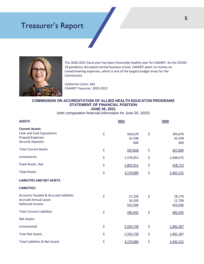## Treasurer's Report



The 2020-2021 fiscal year has been financially healthy year for CAAHEP. As the COVID-19 pandemic disrupted normal business travel, CAAHEP spent no money on travel/meeting expenses, which is one of the largest budget areas for the Commission.

Catherine Carter, MA CAAHEP Treasurer, 2020-2021

#### **COMMISSION ON ACCREDITATION OF ALLIED HEALTH EDUCATON PROGRAMS STATEMENT OF FINANCIAL POISTION JUNE 30, 2021**

(with comparative financial information for June 30, 2020)

| <b>ASSETS:</b>                                    | 2021 |           | 2020 |           |
|---------------------------------------------------|------|-----------|------|-----------|
| <b>Current Assets:</b>                            |      |           |      |           |
| Cash and Cash Equivalents                         | \$   | 564,670   | \$   | 393,876   |
| <b>Prepaid Expenses</b>                           |      | 32,548    |      | 43,358    |
| <b>Security Deposits</b>                          |      | 600       |      | 600       |
| <b>Total Current Assets</b>                       | \$   | 597,818   | \$   | 437,834   |
| Investments                                       | \$   | 1,578,951 | \$   | 1,608,675 |
| Fixed Assets, Net                                 | \$   | 1,002,911 | \$   | 418,713   |
| <b>Total Assets</b>                               | \$   | 3,179,680 | \$   | 2,465,222 |
| <b>LIABILITIES AND NET ASSETS</b>                 |      |           |      |           |
| <b>LIABILITIES:</b>                               |      |           |      |           |
| <b>Accounts Payable &amp; Accrued Liabilities</b> | \$   | 27,228    | \$   | 18,179    |
| <b>Accrued Annual Leave</b>                       |      | 16,205    |      | 12,700    |
| Deferred Income                                   |      | 542,509   |      | 453,056   |
| <b>Total Current Liabilities</b>                  | \$   | 585,942   | \$   | 483,935   |
| Net Assets:                                       |      |           |      |           |
| Unrestricted                                      | \$   | 2,593,738 | \$   | 1,981,287 |
| <b>Total Net Assets</b>                           | \$   | 2,593,738 | \$   | 1,981,287 |
| <b>Total Liabilities &amp; Net Assets</b>         | \$   | 3,179,680 | \$   | 2,465,222 |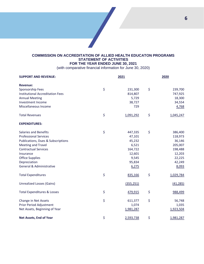#### **COMMISSION ON ACCREDITATION OF ALLIED HEALTH EDUCATON PROGRAMS STATEMENT OF ACTIVITIES FOR THE YEAR ENDED JUNE 30, 2021**

(with comparative financial information for June 30, 2020)

| <b>SUPPORT AND REVENUE:</b>                   | 2021            |    | 2020      |  |
|-----------------------------------------------|-----------------|----|-----------|--|
| <b>Revenue:</b>                               |                 |    |           |  |
| Sponsorship Fees                              | \$<br>231,300   | \$ | 239,700   |  |
| <b>Institutional Accreditation Fees</b>       | 814,807         |    | 747,925   |  |
| <b>Annual Meeting</b>                         | 5,729           |    | 18,300    |  |
| <b>Investment Income</b>                      | 38,727          |    | 34,554    |  |
| Miscellaneous Income                          | 729             |    | 4,768     |  |
| <b>Total Revenues</b>                         | \$<br>1,091,292 | \$ | 1,045,247 |  |
| <b>EXPENDITURES:</b>                          |                 |    |           |  |
| <b>Salaries and Benefits</b>                  | \$<br>447,335   | \$ | 386,400   |  |
| <b>Professional Services</b>                  | 47,101          |    | 118,973   |  |
| <b>Publications, Dues &amp; Subscriptions</b> | 45,232          |    | 36,146    |  |
| <b>Meeting and Travel</b>                     | 6,521           |    | 205,007   |  |
| <b>Contractual Services</b>                   | 164,722         |    | 198,488   |  |
| Insurance                                     | 12,601          |    | 12,203    |  |
| <b>Office Supplies</b>                        | 9,545           |    | 22,225    |  |
| Depreciation                                  | 95,834          |    | 42,249    |  |
| General & Administrative                      | 6,275           |    | 8,093     |  |
| <b>Total Expenditures</b>                     | \$<br>835,166   | \$ | 1,029,784 |  |
| <b>Unrealized Losses (Gains)</b>              | (355, 251)      |    | (41, 285) |  |
| <b>Total Expenditures &amp; Losses</b>        | \$<br>479,915   | \$ | 988,499   |  |
| Change in Net Assets                          | \$<br>611,377   | \$ | 56,748    |  |
| Prior Period Adjustment                       | 1,074           |    | 1,035     |  |
| Net Assets, Beginning of Year                 | 1,981,287       |    | 1,923,504 |  |
| Net Assets, End of Year                       | \$<br>2,593,738 | \$ | 1,981,287 |  |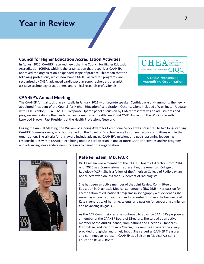## **Year in Review**

#### **Council for Higher Education Accreditation Activities**

In August 2020, CAAHEP received news that the Council for Higher Education Accreditation [\(CHEA\)](https://www.chea.org/), which is the organization that recognizes CAAHEP, approved the organization's expanded scope of practice. This mean that the following professions, which now have CAAHEP accredited programs, are recognized by CHEA: advanced cardiovascular sonographer, art therapist, assistive technology practitioners, and clinical research professionals.



#### **CAAHEP's Annual Meeting**

The CAAHEP Annual took place virtually in January 2021 with keynote speaker Cynthia Jackson-Hammond, the newly appointed President of the Council for Higher Education Accreditation. Other sessions included a Washington Update with Elise Scanlon, JD, a COVID-19 Response Update panel discussion by CoA representatives on adjustments and progress made during the pandemic, and a session on Healthcare Post-COVID: Impact on the Workforce with Lynwood Brooks, Past President of the Health Professions Network.

During the Annual Meeting, the William W. Goding Award for Exceptional Service was presented to two long-standing CAAHEP Commissioners, who both served on the Board of Directors as well as on numerous committees within the organization. The criteria for this award include advancing CAAHEP's missions and goals, assuming leadership responsibilities within CAAHEP, exhibiting notable participation in one or more CAAHEP activities and/or programs, and advancing ideas and/or new strategies to benefit the organization.



#### **Kate Feinstein, MD, FACR**

Dr. Feinstein was a member of the CAAHEP board of directors from 2014 until 2020 as a Commissioner representing the American College of Radiology (ACR). She is a fellow of the American College of Radiology, an honor bestowed on less than 12 percent of radiologists.

She has been an active member of the Joint Review Committee on Education in Diagnostic Medical Sonography (JRC-DMS). Her passion for accreditation of educational programs in sonography was evident as she served as a director, treasurer, and site visitor. This was the beginning of Kate's generosity of her time, talents, and passion for supporting a mission and advancing its goals.

As the ACR Commissioner, she continued to advance CAAHEP's purpose as a member of the CAAHEP Board of Directors. She served as an active member of the Audit/Finance, Nominations and Elections, Standards Committee, and Performance Oversight Committees, where she always provided thoughtful and timely input. She served as CAAHEP Treasurer and continues to represent CAAHEP as a liaison to Medical Assisting Education Review Board.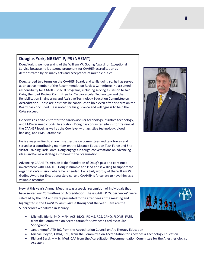#### **Douglas York, NREMT-P, PS (NAEMT)**

Doug York is well-deserving of the William W. Goding Award for Exceptional Service because he is a strong proponent for CAAHEP accreditation as demonstrated by his many acts and acceptance of multiple duties.

Doug served two terms on the CAAHEP Board, and while doing so, he has served as an active member of the Recommendation Review Committee. He assumed responsibility for CAAHEP special programs, including serving as Liaison to two CoAs, the Joint Review Committee for Cardiovascular Technology and the Rehabilitation Engineering and Assistive Technology Education Committee on Accreditation. These are positions he continues to hold even after his term on the Board has concluded. He is noted for his guidance and willingness to help the CoAs succeed.

He serves as a site visitor for the cardiovascular technology, assistive technology, and EMS-Paramedic CoAs. In addition, Doug has conducted site visitor training at the CAAHEP level, as well as the CoA level with assistive technology, blood banking, and EMS-Paramedic.

He is always willing to share his expertise on committees and task forces and served as a contributing member on the Distance Education Task Force and Site Visitor Training Task Force. Doug engages in tough conversations on advancing ideas and/or new strategies to benefit the organization.

Advancing CAAHEP's mission is the foundation of Doug's past and continued involvement with CAAHEP. Doug is humble and kind and is willing to support the organization's mission where he is needed. He is truly worthy of the William W. Goding Award for Exceptional Service, and CAAHEP is fortunate to have him as a valuable resource.

New at this year's Annual Meeting was a special recognition of individuals that have served our Committees on Accreditation. These CAAHEP "Superheroes" were selected by the CoA and were presented to the attendees at the meeting and highlighted in the *CAAHEP Communiqué* throughout the year. Here are the Superheroes we saluted in January:

- Michelle Bierig, PhD, MPH, ACS, RDCS, RDMS, RCS, CPHQ, FSDMS, FASE, from the Committee on Accreditation for Advanced Cardiovascular Sonography
- Janet Kempf, ATR-BC, from the Accreditation Council on Art Therapy Education
- Michael Boytin, CRNA, EdD, from the Committee on Accreditation for Anesthesia Technology Education
- Richard Bassi, MMSc, Med, CAA from the Accreditation Recommendation Committee for the Anesthesiologist Assistant



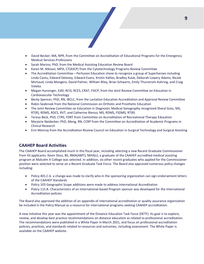- David Becker, MA, NPR, from the Committee on Accreditation of Educational Programs for the Emergency Medical Services Professions
- Sarah Marino, PhD, from the Medical Assisting Education Review Board
- Karen M. Atkison, MPA, CT(ASCP) from the Cytotechnology Programs Review Committee
- The Accreditation Committee Perfusion Education chose to recognize a group of Superheroes including Linda Cantu, Edward Delaney, Edward Evans, Kristin Kallies, Bradley Kulat, Deborah Lowery Adams, Nicole Michaud, Linda Mongero, David Palmer, William Riley, Brian Schwartz, Emily Thunstrom-Kahring, and Craig Voleka.
- Megan Hunsinger, EdD, RCIS, RCES, CRAT, FSICP, from the Joint Review Committee on Education in Cardiovascular Technology
- Becky Spencer, PhD, RN, IBCLC, from the Lactation Education Accreditation and Approval Review Committee
- Robin Seabrook from the National Commission on Orthotic and Prosthetic Education
- The Joint Review Committee on Education in Diagnostic Medical Sonography recognized Sheryl Goss, MS, RT(R), RDMS, RDCS, RVT, and Catherine Rienzo, MS, RDMS, FSDMS, RT(R)
- Teresa Beck, PhD, CTRS, FDRT from Committee on Accreditation of Recreational Therapy Education
- Marjorie Neidecker, PhD, Meng, RN, CCRP from the Committee on Accreditation of Academic Programs in Clinical Research
- Erin Monroy from the Accreditation Review Council on Education in Surgical Technology and Surgical Assisting

#### **CAAHEP Board Activities**

The CAAHEP Board accomplished much in this fiscal year, including selecting a new Recent Graduate Commissioner from 43 applicants. Kevin Sloss, BS, RMA(AMT), MHA(c), a graduate of the CAAHEP accredited medical assisting program at Malcolm X College was selected. In addition, six other recent graduates who applied for the Commissioner position were selected to serve on a Recent Graduate Task Force. The Board also approved numerous policy changes including:

- Policy 401.C.6. a change was made to clarify who in the sponsoring organization can sign endorsement letters of the CAAHEP Standards
- Policy 103 Geographic Scope additions were made to address International Accreditation
- Policy 115.B. Characteristics of an International-based Program sponsor was developed for the International Accreditation policies

The Board also approved the addition of an appendix of international accreditation or quality assurance organization be included in the Policy Manual as a resource for international programs seeking CAAHEP accreditation.

A new initiative this year was the appointment of the Distance Education Task Force (DETF). Its goal is to explore, review, and develop best practice recommendations on distance education as related to professional accreditation. The recommendations were published in a White Paper in March 2021, and focus on professional accreditation policies, practices, and standards related to resources and outcomes, including assessment. The White Paper is available on the CAAHEP website.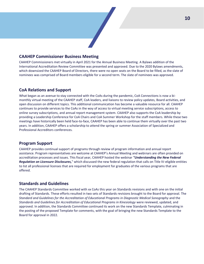#### **CAAHEP Commissioner Business Meeting**

CAAHEP Commissioners met virtually in April 2021 for the Annual Business Meeting. A Bylaws addition of the International Accreditation Review Committee was presented and approved. Due to the 2020 Bylaws amendments, which downsized the CAAHEP Board of Directors, there were no open seats on the Board to be filled, as the slate of nominees was comprised of Board members eligible for a second term. The slate of nominees was approved.

#### **CoA Relations and Support**

What began as an avenue to stay connected with the CoAs during the pandemic, CoA Connections is now a bimonthly virtual meeting of the CAAHEP staff, CoA leaders, and liaisons to review policy updates, Board activities, and open discussion on different topics. This additional communication has become a valuable resource for all. CAAHEP continues to provide services to the CoAs in the way of access to virtual meeting service subscriptions, access to online survey subscriptions, and annual report management system. CAAHEP also supports the CoA leadership by providing a Leadership Conference for CoA Chairs and CoA Summer Workshop for the staff members. While these two meetings have historically been held face-to-face, CAAHEP has been able to continue them virtually over the past two years. In addition, CAAHEP offers a scholarship to attend the spring or summer Association of Specialized and Professional Accreditors conferences.

#### **Program Support**

CAAHEP provides continual support of programs through review of program information and annual report assistance. Program representatives are welcome at CAAHEP's Annual Meeting and webinars are often provided on accreditation processes and issues. This fiscal year, CAAHEP hosted the webinar *"Understanding the New Federal Regulation on Licensure Disclosures,*" which discussed the new federal regulation that calls on Title IV-eligible entities to list all professional licenses that are required for employment for graduates of the various programs that are offered.

#### **Standards and Guidelines**

The CAAHEP Standards Committee worked with xx CoAs this year on Standards revisions and with one on the initial drafting of Standards. These efforts resulted in two sets of Standards revisions brought to the Board for approval. The *Standard and Guidelines for the Accreditation of Educational Programs in Diagnostic Medical Sonography* and the *Standards and Guidelines for Accreditation of Educational Programs in Kinesiology* were reviewed, updated, and approved. In addition, the Standards Committee continued its work on the new Standards Template, culminating in the posting of the proposed Template for comments, with the goal of bringing the new Standards Template to the Board for approval in 2022.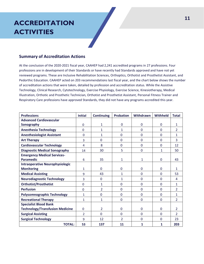## **ACCREDITATION ACTIVITIES**

#### **Summary of Accreditation Actions**

At the conclusion of the 2020-2021 fiscal year, CAAHEP had 2,241 accredited programs in 27 professions. Four professions are in development of their Standards or have recently had Standards approved and have not yet reviewed programs. These are Inclusive Rehabilitation Sciences, Orthoptics, Orthotist and Prosthetist Assistant, and Pedorthic Education. CAAHEP acted on 203 recommendations last fiscal year, and the chart below shows the number of accreditation actions that were taken, detailed by profession and accreditation status. While the Assistive Technology, Clinical Research, Cytotechnology, Exercise Physiology, Exercise Science, Kinesiotherapy, Medical Illustration, Orthotic and Prosthetic Technician, Orthotist and Prosthetist Assistant, Personal Fitness Trainer and Respiratory Care professions have approved Standards, they did not have any programs accredited this year.

| <b>Professions</b>                     | <b>Initial</b> | <b>Continuing</b> | <b>Probation</b> | Withdrawn | <b>Withheld</b> | <b>Total</b>   |
|----------------------------------------|----------------|-------------------|------------------|-----------|-----------------|----------------|
| <b>Advanced Cardiovascular</b>         |                |                   |                  |           |                 |                |
| Sonography                             | $\mathbf 0$    | $\mathbf{1}$      | 0                | $\Omega$  | $\Omega$        | $\mathbf{1}$   |
| <b>Anesthesia Technology</b>           | $\Omega$       | 1                 | 1                | 0         | $\Omega$        | $\overline{2}$ |
| <b>Anesthesiologist Assistant</b>      | $\Omega$       | $\mathbf{1}$      | $\Omega$         | 0         | $\Omega$        | $\mathbf{1}$   |
| <b>Art Therapy</b>                     | 3              | 0                 | $\mathbf 0$      | 0         | $\Omega$        | 3              |
| <b>Cardiovascular Technology</b>       | 4              | 8                 | $\Omega$         | 0         | $\Omega$        | 12             |
| <b>Diagnostic Medical Sonography</b>   | 14             | 30                | 5                | 0         | 1               | 50             |
| <b>Emergency Medical Services-</b>     |                |                   |                  |           |                 |                |
| <b>Paramedic</b>                       | 6              | 35                | 1                | 1         | $\Omega$        | 43             |
| <b>Intraoperative Neurophysiologic</b> |                |                   |                  |           |                 |                |
| <b>Monitoring</b>                      | 1              | $\Omega$          | $\Omega$         | 0         | $\mathbf{0}$    | 1              |
| <b>Medical Assisting</b>               | 9              | 43                | 1                | 0         | $\Omega$        | 53             |
| <b>Neurodiagnostic Technology</b>      | 3              | $\mathbf 0$       | $\mathbf{1}$     | 0         | $\Omega$        | 4              |
| <b>Orthotist/Prosthetist</b>           | $\Omega$       | 1                 | $\Omega$         | 0         | $\Omega$        | $\mathbf{1}$   |
| <b>Perfusion</b>                       | $\Omega$       | $\overline{2}$    | $\mathbf 0$      | 0         | $\Omega$        | $\overline{2}$ |
| <b>Polysomnographic Technology</b>     | $\mathbf{1}$   | $\mathbf 0$       | $\mathbf 0$      | 0         | $\mathbf{0}$    | $\mathbf{1}$   |
| <b>Recreational Therapy</b>            | 1              | $\mathbf{1}$      | $\mathbf 0$      | $\Omega$  | $\mathbf{0}$    | $\mathcal{P}$  |
| <b>Specialist Blood Bank</b>           |                |                   |                  |           |                 |                |
| <b>Technology/Transfusion Medicine</b> | $\mathbf{0}$   | $\mathcal{P}$     | $\Omega$         | $\Omega$  | $\Omega$        | $\mathcal{P}$  |
| <b>Surgical Assisting</b>              | $\mathfrak{D}$ | $\mathbf 0$       | $\Omega$         | 0         | $\Omega$        | $\overline{2}$ |
| <b>Surgical Technology</b>             | 9              | 12                | $\overline{2}$   | 0         | $\mathbf{0}$    | 23             |
| <b>TOTAL:</b>                          | 53             | 137               | 11               | 1         | 1               | 203            |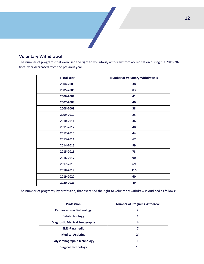# 

#### **Voluntary Withdrawal**

The number of programs that exercised the right to voluntarily withdraw from accreditation during the 2019-2020 fiscal year decreased from the previous year.

| <b>Fiscal Year</b> | <b>Number of Voluntary Withdrawals</b> |
|--------------------|----------------------------------------|
| 2004-2005          | 38                                     |
| 2005-2006          | 83                                     |
| 2006-2007          | 41                                     |
| 2007-2008          | 40                                     |
| 2008-2009          | 38                                     |
| 2009-2010          | 25                                     |
| 2010-2011          | 36                                     |
| 2011-2012          | 48                                     |
| 2012-2013          | 44                                     |
| 2013-2014          | 67                                     |
| 2014-2015          | 99                                     |
| 2015-2016          | 78                                     |
| 2016-2017          | 90                                     |
| 2017-2018          | 69                                     |
| 2018-2019          | 116                                    |
| 2019-2020          | 60                                     |
| 2020-2021          | 49                                     |

The number of programs, by profession, that exercised the right to voluntarily withdraw is outlined as follows:

| <b>Profession</b>                    | <b>Number of Programs Withdrew</b> |
|--------------------------------------|------------------------------------|
| <b>Cardiovascular Technology</b>     |                                    |
| Cytotechnology                       |                                    |
| <b>Diagnostic Medical Sonography</b> | 4                                  |
| <b>EMS-Paramedic</b>                 |                                    |
| <b>Medical Assisting</b>             | 24                                 |
| <b>Polysomnographic Technology</b>   |                                    |
| <b>Surgical Technology</b>           | 10                                 |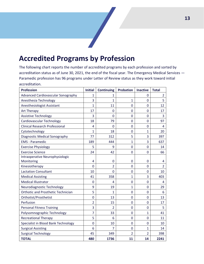## **Accredited Programs by Profession**

The following chart reports the number of accredited programs by each profession and sorted by accreditation status as of June 30, 2021, the end of the fiscal year. The Emergency Medical Services — Paramedic profession has 96 programs under Letter of Review status as they work toward initial accreditation.

| <b>Profession</b>                         | <b>Initial</b> | <b>Continuing</b> | <b>Probation</b> | <b>Inactive</b> | <b>Total</b>   |
|-------------------------------------------|----------------|-------------------|------------------|-----------------|----------------|
| <b>Advanced Cardiovascular Sonography</b> | 1              | 1                 |                  | 0               | $\overline{2}$ |
| Anesthesia Technology                     | 3              | $\mathbf{1}$      | 1                | 0               | 5              |
| Anesthesiologist Assistant                | 1              | 11                | $\mathbf{0}$     | $\Omega$        | 12             |
| Art Therapy                               | 17             | $\Omega$          | $\mathbf{0}$     | $\Omega$        | 17             |
| <b>Assistive Technology</b>               | 3              | $\mathbf 0$       | $\mathbf 0$      | 0               | 3              |
| Cardiovascular Technology                 | 18             | 79                | $\mathbf 0$      | $\mathbf 0$     | 97             |
| <b>Clinical Research Professional</b>     | 4              | 0                 | $\mathbf 0$      | 0               | 4              |
| Cytotechnology                            | 1              | 18                | $\Omega$         | $\mathbf{1}$    | 20             |
| <b>Diagnostic Medical Sonography</b>      | 77             | 312               | 5                | 3               | 397            |
| <b>EMS</b> - Paramedic                    | 189            | 444               | 1                | 3               | 637            |
| <b>Exercise Physiology</b>                | 5              | 9                 | $\mathbf 0$      | $\mathbf 0$     | 14             |
| <b>Exercise Science</b>                   | 24             | 42                | $\mathbf 0$      | $\mathbf 0$     | 66             |
| Intraoperative Neurophysiologic           |                |                   |                  |                 |                |
| Monitoring                                | 4              | $\mathbf 0$       | 0                | 0               | 4              |
| Kinesiotherapy                            | 0              | $\overline{2}$    | $\mathbf{0}$     | $\Omega$        | $\overline{2}$ |
| <b>Lactation Consultant</b>               | 10             | $\overline{0}$    | $\mathbf 0$      | 0               | 10             |
| <b>Medical Assisting</b>                  | 41             | 358               | 1                | 3               | 403            |
| <b>Medical Illustrator</b>                | 0              | 4                 | $\mathbf 0$      | 0               | 4              |
| Neurodiagnostic Technology                | 9              | 19                | 1                | $\Omega$        | 29             |
| <b>Orthotic and Prosthetic Technician</b> | 5              | 1                 | $\mathbf 0$      | $\Omega$        | 6              |
| Orthotist/Prosthetist                     | 0              | 13                | $\mathbf 0$      | $\mathbf 0$     | 13             |
| Perfusion                                 | $\overline{2}$ | 15                | $\mathbf 0$      | $\mathbf 0$     | 17             |
| <b>Personal Fitness Training</b>          | 3              | $\overline{2}$    | $\mathbf 0$      | $\mathbf 0$     | 5              |
| Polysomnographic Technology               | 7              | 33                | $\mathbf 0$      | $\mathbf{1}$    | 41             |
| <b>Recreational Therapy</b>               | 5              | 6                 | $\Omega$         | $\Omega$        | 11             |
| Specialist in Blood Bank Technology       | 0              | 10                | $\mathbf 0$      | $\mathbf 0$     | 10             |
| <b>Surgical Assisting</b>                 | 6              | $\overline{7}$    | $\mathbf 0$      | $\mathbf{1}$    | 14             |
| <b>Surgical Technology</b>                | 45             | 349               | $\overline{2}$   | $\overline{2}$  | 398            |
| <b>TOTAL</b>                              | 480            | 1736              | 11               | 14              | 2241           |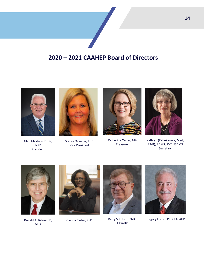



Glen Mayhew, DHSc, NRP President



Stacey Ocander, EdD Vice President



Catherine Carter, MA Treasurer



Kathryn (Katie) Kuntz, Med, RT(R), RDMS, RVT, FSDMS Secretary



Donald A. Balasa, JD, MBA





Glenda Carter, PhD Barry S. Eckert, PhD., FASAHP



Gregory Frazer, PhD, FASAHP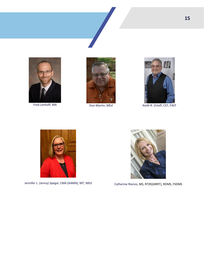





Fred Lenhoff, MA Don Martin, MEd Keith R. Orloff, CST, FAST



Jennifer L. (Jenny) Spegal, CMA (AAMA), MT, MEd Catherine Rienzo, MS, RT(R)(ARRT), RDMS, FSDMS

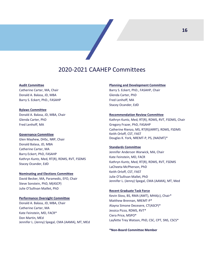## 2020-2021 CAAHEP Committees

#### **Audit Committee**

Catherine Carter, MA, Chair Donald A. Balasa, JD, MBA Barry S. Eckert, PhD., FASAHP

#### **Bylaws Committee**

Donald A. Balasa, JD, MBA, Chair Glenda Carter, PhD Fred Lenhoff, MA

#### **Governance Committee**

Glen Mayhew, DHSc, NRP, Chair Donald Balasa, JD, MBA Catherine Carter, MA Barry Eckert, PhD, FASAHP Kathryn Kuntz, Med, RT(R), RDMS, RVT, FSDMS Stacey Ocander, EdD

#### **Nominating and Elections Committee**

David Becker, MA, Paramedic, EFO, Chair Steve Sonstein, PhD, M(ASCP) Julie O'Sullivan Maillet, PhD

#### **Performance Oversight Committee**

Donald A. Balasa, JD, MBA, Chair Catherine Carter, MA Kate Feinstein, MD, FACR\* Don Martin, MEd Jennifer L. (Jenny) Spegal, CMA (AAMA), MT, MEd

#### **Planning and Development Committee**

Barry S. Eckert, PhD., FASAHP, Chair Glenda Carter, PhD Fred Lenhoff, MA Stacey Ocander, EdD

#### **Recommendation Review Committee**

Kathryn Kuntz, Med, RT(R), RDMS, RVT, FSDMS, Chair Gregory Frazer, PhD, FASAHP Catherine Rienzo, MS, RT(R)(ARRT), RDMS, FSDMS Keith Orloff, CST, FAST Douglas K. York, NREMT-P, PS, (NAEMT)\*

#### **Standards Committee**

Jennifer Anderson Warwick, MA, Chair Kate Feinstein, MD, FACR Kathryn Kuntz, Med, RT(R), RDMS, RVT, FSDMS LaCheeta McPherson, PhD Keith Orloff, CST, FAST Julie O'Sullivan Mallet, PhD Jennifer L. (Jenny) Spegal, CMA (AAMA), MT, Med

#### **Recent Graduate Task Force**

Kevin Sloss, BS, RMA (AMT), MHA(c), Chair\* Matthew Brennan, NREMT-P\* Alayna Simone Decesere, CT(ASCP)\* Jessica Pizzo, RDMS, RVT\* Ciera Price, MSPO\* Layfette Trey Watson, PhD, CSC, CPT, SNS, CSCS\*

**\*Non-Board Committee Member**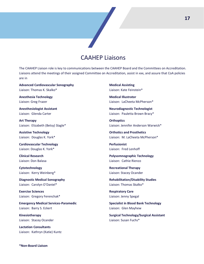

## CAAHEP Liaisons

The CAAHEP Liaison role is key to communications between the CAAHEP Board and the Committees on Accreditation. Liaisons attend the meetings of their assigned Committee on Accreditation, assist in xxx, and assure that CoA policies are in

**Advanced Cardiovascular Sonography**  Liaison: Thomas K. Skalko\*

**Anesthesia Technology**  Liaison: Greg Frazer

**Anesthesiologist Assistant**  Liaison: Glenda Carter

**Art Therapy** Liaison: Elizabeth (Betsy) Slagle\*

**Assistive Technology**  Liaison: Douglas K. York\*

**Cardiovascular Technology**  Liaison: Douglas K. York\*

**Clinical Research**  Liaison: Don Balasa

**Cytotechnology**  Liaison: Kerry Weinberg\*

**Diagnostic Medical Sonography** Liaison: Carolyn O'Daniel\*

**Exercise Sciences**  Liaison: Gregory Ferenchak\*

**Emergency Medical Services-Paramedic**  Liaison: Barry S. Eckert

**Kinesiotherapy**  Liaison: Stacey Ocander

**Lactation Consultants**  Liaison: Kathryn (Katie) Kuntz **Medical Assisting**  Liaison: Kate Feinstein\*

**Medical Illustrator**  Liaison: LaCheeta McPherson\*

**Neurodiagnostic Technologist**  Liaison: Pauletta Brown Bracy\*

**Orthoptics**  Liaison: Jennifer Anderson Warwick\*

**Orthotics and Prosthetics**  Liaison: M. LaCheeta McPherson\*

**Perfusionist**  Liaison: Fred Lenhoff

**Polysomnographic Technology**  Liaison: Cathie Rienzo

**Recreational Therapy**  Liaison: Stacey Ocander

**Rehabilitation/Disability Studies**  Liaison: Thomas Skalko\*

**Respiratory Care**  Liaison: Jenny Spegal

**Specialist in Blood Bank Technology**  Liaison: Glen Mayhew

**Surgical Technology/Surgical Assistant**  Liaison: Susan Fuchs\*

**\*Non-Board Liaison**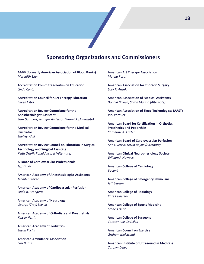## **Sponsoring Organizations and Commissioners**

**AABB (formerly American Association of Blood Banks)** *Meredith Eller*

**Accreditation Committee-Perfusion Education** *Linda Cantu*

**Accreditation Council for Art Therapy Education** *Eileen Estes* 

**Accreditation Review Committee for the Anesthesiologist Assistant** *Sam Gumbert; Jennifer Anderson Warwick (Alternate)*

**Accreditation Review Committee for the Medical Illustrator** *Shelley Wall*

**Accreditation Review Council on Education in Surgical Technology and Surgical Assisting** *Keith Orloff; Ronald Kruzel (Alternate)*

**Alliance of Cardiovascular Professionals** *Jeff Davis*

**American Academy of Anesthesiologist Assistants** *Jennifer Stever*

**American Academy of Cardiovascular Perfusion** *Linda B. Mongero*

**American Academy of Neurology** *George (Trey) Lee, III*

**American Academy of Orthotists and Prosthetists** *Kinsey Herrin*

**American Academy of Pediatrics** *Susan Fuchs*

**American Ambulance Association** *Lori Burns*

**American Art Therapy Association** *Marcia Rosal*

**American Association for Thoracic Surgery** *Sary F. Aranki*

**American Association of Medical Assistants** *Donald Balasa; Sarah Marino (Alternate)*

**American Association of Sleep Technologists (AAST)** *Joel Porquez*

**American Board for Certification in Orthotics, Prosthetics and Pedorthics** *Catherine A. Carter*

**American Board of Cardiovascular Perfusion** *Ann Guercio; David Boyne (Alternate)*

**American Clinical Neurophysiology Society** *William J. Nowack*

**American College of Cardiology** *Vacant*

**American College of Emergency Physicians** *Jeff Beeson*

**American College of Radiology** *Kate Feinstein*

**American College of Sports Medicine** *Francis Neric*

**American College of Surgeons** *Constantine Godellas*

**American Council on Exercise** *Graham Melstrand*

**American Institute of Ultrasound in Medicine** *Carolyn Deleo*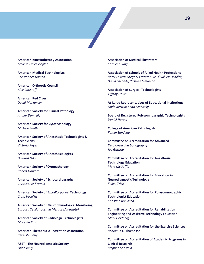

**American Kinesiotherapy Association** *Melissa Fuller Ziegler*

**American Medical Technologists** *Christopher Damon*

**American Orthoptic Council** *Alex Christoff*

**American Red Cross** *David Markenson*

**American Society for Clinical Pathology** *Amber Donnelly*

**American Society for Cytotechnology** *Michele Smith*

**American Society of Anesthesia Technologists & Technicians** *Victoria Reyes*

**American Society of Anesthesiologists** *Howard Odom*

**American Society of Cytopathology** *Robert Goulart*

**American Society of Echocardiography** *Christopher Kramer*

**American Society of ExtraCorporeal Technology** *Craig Vocelka*

**American Society of Neurophysiological Monitoring** *Barbara Tetzlaf; Joshua Mergos (Alternate)*

**American Society of Radiologic Technologists** *Myke Kudlas*

**American Therapeutic Recreation Association** *Betsy Kemeny*

**ASET - The Neurodiagnostic Society** *Linda Kelly*

**Association of Medical Illustrators** *Kathleen Jung*

**Association of Schools of Allied Health Professions** *Barry Eckert; Gregory Frazer; Julie O'Sullivan Maillet; David Shelledy; Yasmen Simonian*

**Association of Surgical Technologists** *Tiffany Howe*

**At-Large Representatives of Educational Institutions** *Linda Kerwin; Keith Monosky*

**Board of Registered Polysomnographic Technologists** *Daniel Harold*

**College of American Pathologists** *Kaitlin Sundling*

**Committee on Accreditation for Advanced Cardiovascular Sonography** *Joy Guthrie*

**Committee on Accreditation for Anesthesia Technology Education** *Marc McGaffic*

**Committee on Accreditation for Education in Neurodiagnostic Technology** *Kellee Trice*

**Committee on Accreditation for Polysomnographic Technologist Education** *Christine Robinson*

**Committee on Accreditation for Rehabilitation Engineering and Assistive Technology Education** *Mary Goldberg*

**Committee on Accreditation for the Exercise Sciences** *Benjamin C*. Thompson

**Committee on Accreditation of Academic Programs in Clinical Research** *Stephen Sonstein*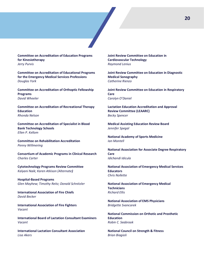**Committee on Accreditation of Education Programs for Kinesiotherapy** *Jerry Purvis*

**Committee on Accreditation of Educational Programs for the Emergency Medical Services Professions** *Douglas York*

**Committee on Accreditation of Orthoptic Fellowship Programs** *David Wheeler*

**Committee on Accreditation of Recreational Therapy Education** *Rhonda Nelson*

**Committee on Accreditation of Specialist in Blood Bank Technology Schools** *Ellen P. Kellom*

**Committee on Rehabilitation Accreditation** *Penny Willmering*

**Consortium of Academic Programs in Clinical Research** *Charles Carter*

**Cytotechnology Programs Review Committee** *Kalyani Naik; Karen Atkison (Alternate)*

**Hospital-Based Programs** *Glen Mayhew; Timothy Reitz; Donald Schnitzler*

**International Association of Fire Chiefs** *David Becker*

**International Association of Fire Fighters** *Vacant*

**International Board of Lactation Consultant Examiners** *Vacant*

**International Lactation Consultant Association** *Lisa Akers*

**Joint Review Committee on Education in Cardiovascular Technology** *Raymond Lenius*

**Joint Review Committee on Education in Diagnostic Medical Sonography** *Catherine Rienzo*

**Joint Review Committee on Education in Respiratory Care** *Carolyn O'Daniel*

**Lactation Education Accreditation and Approval Review Committee (LEAARC)** *Becky Spencer*

**Medical Assisting Education Review Board** *Jennifer Spegal*

**National Academy of Sports Medicine** *Ian Montell*

**National Association for Associate Degree Respiratory Care** *Idichandi Idicula*

**National Association of Emergency Medical Services Educators** *Chris Nollette*

**National Association of Emergency Medical Technicians** *Richard Ellis*

**National Association of EMS Physicians** *Bridgette Svancarek*

**National Commission on Orthotic and Prosthetic Education** *Robin C. Seabrook*

**National Council on Strength & Fitness** *Brian Biagioli*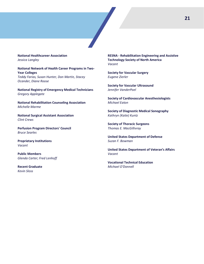#### **National Healthcareer Association** *Jessica Langley*

**National Network of Health Career Programs in Two-Year Colleges** *Teddy Farias, Susan Hunter, Don Martin, Stacey Ocander, Diane Roose*

**National Registry of Emergency Medical Technicians** *Gregory Applegate*

**National Rehabilitation Counseling Association** *Michelle Marme*

**National Surgical Assistant Association** *Clint Crews*

**Perfusion Program Directors' Council** *Bruce Searles*

**Proprietary Institutions** *Vacant*

**Public Members** *Glenda Carter; Fred Lenhoff*

**Recent Graduate** *Kevin Sloss*

**RESNA - Rehabilitation Engineering and Assistive Technology Society of North America** *Vacant* 

**Society for Vascular Surgery** *Eugene Zierler*

**Society for Vascular Ultrasound** *Jennifer VanderPoel*

**Society of Cardiovascular Anesthesiologists** *Michael Eaton*

**Society of Diagnostic Medical Sonography** *Kathryn (Katie) Kuntz*

**Society of Thoracic Surgeons** *Thomas E. MacGillivray*

**United States Department of Defense** *Suzan F. Bowman*

**United States Department of Veteran's Affairs** *Vacant*

**Vocational Technical Education** *Michael O'Donnell*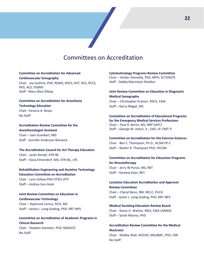## Committees on Accreditation

#### **Committee on Accreditation for Advanced**

**Cardiovascular Sonography** Chair - Joy Guthrie, PhD, RDMS, RDCS, RVT, RCS, RCCS, RVS, ACS, FSDMS Staff - Mary Alice Dilday

#### **Committee on Accreditation for Anesthesia Technology Education** Chair- Victoria A. Reyes No Staff

**Accreditation Review Committee for the Anesthesiologist Assistant** Chair – Sam Gumbert, MD Staff - Jennifer Anderson Warwick

**The Accreditation Council for Art Therapy Education**  Chair - Janet Kempf, ATR-BC Staff – Dana Elmendorf, MA, ATR-BC, LPC

**Rehabilitation Engineering and Assistive Technology Education Committee on Accreditation** Chair - Lynn Gitlow PhD OTR/L ATP Staff – Andrea Van Hook

**Joint Review Committee on Education in Cardiovascular Technology**  Chair – Raymond Lenius, RCIS, MS Staff – Jackie L. Long-Goding, PhD, RRT-NPS

**Committee on Accreditation of Academic Programs in Clinical Research**  Chair - Stephen Sonstein, PhD, M(ASCP) No Staff

**Cytotechnology Programs Review Committee**  Chair – Amber Donnelly, PhD, MPH, SCT(ASCP) Staff - Debby MacIntyre Sheldon

**Joint Review Committee on Education in Diagnostic Medical Sonography** Chair – Christopher Kramer, RDCS, FASE Staff – Gerry Magat, MS

**Committee on Accreditation of Educational Programs for the Emergency Medical Services Professions** Chair – Paul A. Berlin, MS, NRP (IAFC) Staff – George W. Hatch, Jr., EdD, LP, EMT-P

**Committee on Accreditation for the Exercise Sciences** Chair - Ben C. Thompson, Ph.D., ACSM EP-C Staff – Walter R. Thompson PhD, FACSM

**Committee on Accreditation for Education Programs for Kinesiotherapy** Chair - Jerry W Purvis, MS, RKT Staff – Kareesa Keys, RKT

**Lactation Education Accreditation and Approval Review Committee**  Chair – Cheryl Benn, RM, IBCLC, FILCA Staff *-* Jackie L. Long-Goding, PhD, RRT-NPS

**Medical Assisting Education Review Board**  Chair - Karon G. Walton, MEd, CMA (AAMA) Staff – Sarah Marino, PhD

**Accreditation Review Committee for the Medical Illustrator**  Chair - Shelley Wall, AOCAD, MScBMC, PhD, CMI No Staff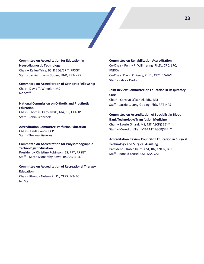#### **Committee on Accreditation for Education in Neurodiagnostic Technology** Chair – Kellee Trice, BS, R EEG/EP T, RPSGT Staff - Jackie L. Long-Goding, PhD, RRT-NPS

**Committee on Accreditation of Orthoptic Fellowship**  Chair - David T. Wheeler, MD No Staff

#### **National Commission on Orthotic and Prosthetic Education**  Chair - Thomas Karolewski, MA, CP, FAAOP

Staff - Robin Seabrook

#### **Accreditation Committee-Perfusion Education**  Chair – Linda Cantu, CCP

Staff - Theresa Sisneros

#### **Committee on Accreditation for Polysomnographic Technologist Education**

President – Christine Robinson, BS, RRT, RPSGT Staff – Karen Monarchy Rowe, BS AAS RPSGT

#### **Committee on Accreditation of Recreational Therapy Education**

Chair - Rhonda Nelson Ph.D., CTRS, MT-BC No Staff

#### **Committee on Rehabilitation Accreditation**

Co-Chair - Penny P. Willmering, Ph.D., CRC, LPC, FNRCA Co-Chair: David C. Perry, Ph.D., CRC, D/ABVE Staff - Patrick Krolik

#### **Joint Review Committee on Education in Respiratory Care**

Chair – Carolyn O'Daniel, EdD, RRT Staff – Jackie L. Long-Goding, PhD, RRT-NPS

#### **Committee on Accreditation of Specialist in Blood Bank Technology/Transfusion Medicine**

Chair – Laurie Gillard, MS, MT(ASCP)SBBCM Staff – Meredith Eller, MBA MT(ASCP)SBBCM

### **Accreditation Review Council on Education in Surgical**

**Technology and Surgical Assisting**  President – Robin Keith, CST, RN, CNOR, BSN Staff – Ronald Kruzel, CST, MA, CAE